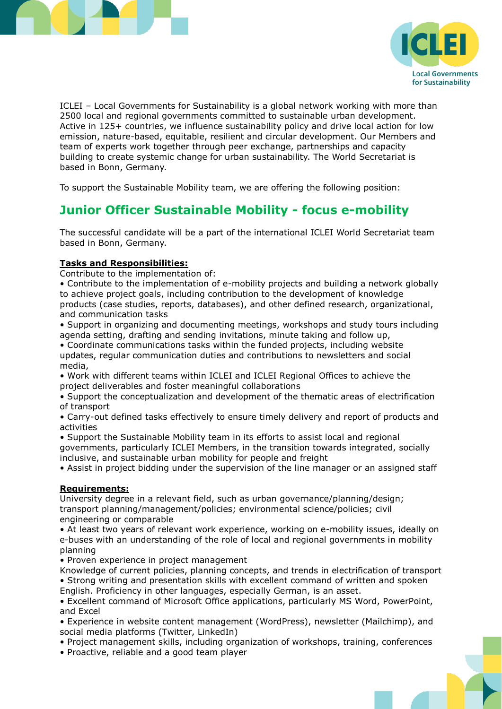



ICLEI – Local Governments for Sustainability is a global network working with more than 2500 local and regional governments committed to sustainable urban development. Active in 125+ countries, we influence sustainability policy and drive local action for low emission, nature-based, equitable, resilient and circular development. Our Members and team of experts work together through peer exchange, partnerships and capacity building to create systemic change for urban sustainability. The World Secretariat is based in Bonn, Germany.

To support the Sustainable Mobility team, we are offering the following position:

# **Junior Officer Sustainable Mobility - focus e-mobility**

The successful candidate will be a part of the international ICLEI World Secretariat team based in Bonn, Germany.

## **Tasks and Responsibilities:**

Contribute to the implementation of:

• Contribute to the implementation of e-mobility projects and building a network globally to achieve project goals, including contribution to the development of knowledge products (case studies, reports, databases), and other defined research, organizational, and communication tasks

• Support in organizing and documenting meetings, workshops and study tours including agenda setting, drafting and sending invitations, minute taking and follow up,

• Coordinate communications tasks within the funded projects, including website updates, regular communication duties and contributions to newsletters and social media,

• Work with different teams within ICLEI and ICLEI Regional Offices to achieve the project deliverables and foster meaningful collaborations

• Support the conceptualization and development of the thematic areas of electrification of transport

• Carry-out defined tasks effectively to ensure timely delivery and report of products and activities

• Support the Sustainable Mobility team in its efforts to assist local and regional governments, particularly ICLEI Members, in the transition towards integrated, socially inclusive, and sustainable urban mobility for people and freight

• Assist in project bidding under the supervision of the line manager or an assigned staff

#### **Requirements:**

University degree in a relevant field, such as urban governance/planning/design; transport planning/management/policies; environmental science/policies; civil engineering or comparable

• At least two years of relevant work experience, working on e-mobility issues, ideally on e-buses with an understanding of the role of local and regional governments in mobility planning

• Proven experience in project management

Knowledge of current policies, planning concepts, and trends in electrification of transport • Strong writing and presentation skills with excellent command of written and spoken

English. Proficiency in other languages, especially German, is an asset.

• Excellent command of Microsoft Office applications, particularly MS Word, PowerPoint, and Excel

• Experience in website content management (WordPress), newsletter (Mailchimp), and social media platforms (Twitter, LinkedIn)

• Project management skills, including organization of workshops, training, conferences

• Proactive, reliable and a good team player